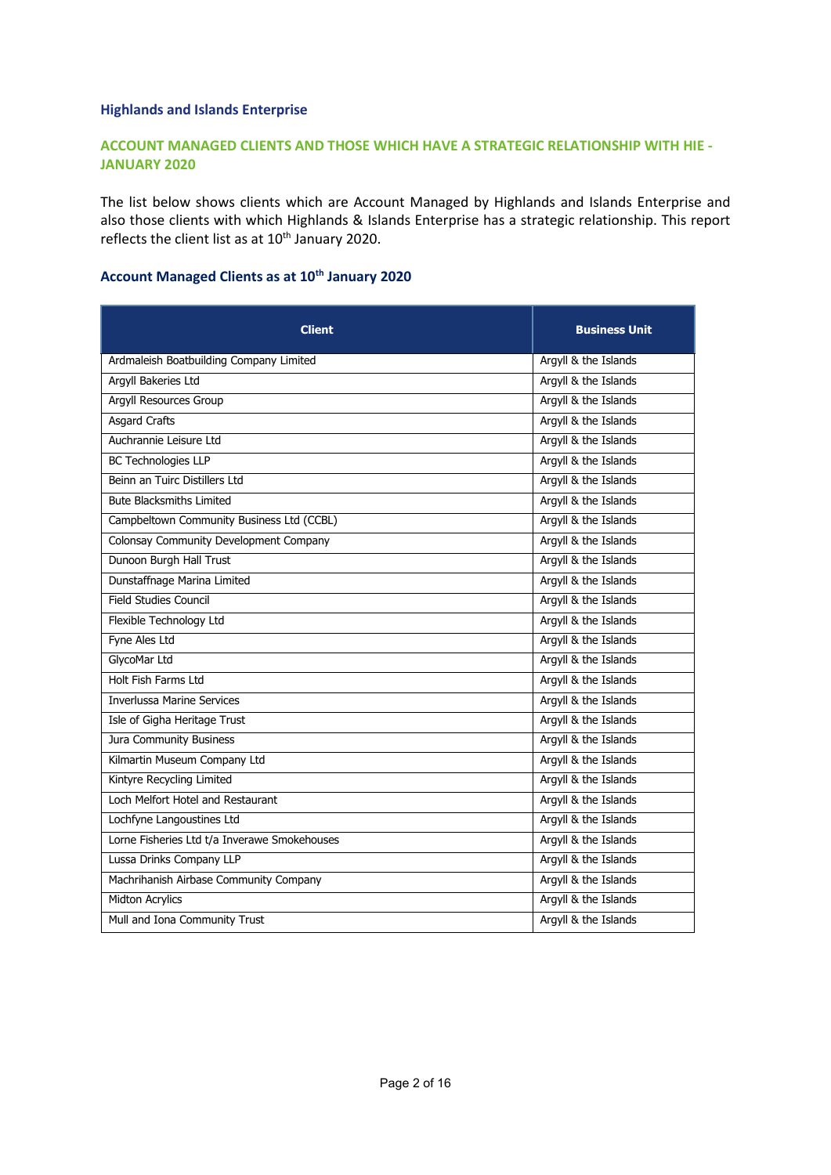## **Highlands and Islands Enterprise**

## **ACCOUNT MANAGED CLIENTS AND THOSE WHICH HAVE A STRATEGIC RELATIONSHIP WITH HIE - JANUARY 2020**

The list below shows clients which are Account Managed by Highlands and Islands Enterprise and also those clients with which Highlands & Islands Enterprise has a strategic relationship. This report reflects the client list as at  $10^{th}$  January 2020.

## **Account Managed Clients as at 10th January 2020**

| <b>Client</b>                                | <b>Business Unit</b> |
|----------------------------------------------|----------------------|
| Ardmaleish Boatbuilding Company Limited      | Argyll & the Islands |
| Argyll Bakeries Ltd                          | Argyll & the Islands |
| <b>Argyll Resources Group</b>                | Argyll & the Islands |
| <b>Asgard Crafts</b>                         | Argyll & the Islands |
| Auchrannie Leisure Ltd                       | Argyll & the Islands |
| <b>BC</b> Technologies LLP                   | Argyll & the Islands |
| Beinn an Tuirc Distillers Ltd                | Argyll & the Islands |
| <b>Bute Blacksmiths Limited</b>              | Argyll & the Islands |
| Campbeltown Community Business Ltd (CCBL)    | Argyll & the Islands |
| Colonsay Community Development Company       | Argyll & the Islands |
| Dunoon Burgh Hall Trust                      | Argyll & the Islands |
| Dunstaffnage Marina Limited                  | Argyll & the Islands |
| <b>Field Studies Council</b>                 | Argyll & the Islands |
| Flexible Technology Ltd                      | Argyll & the Islands |
| Fyne Ales Ltd                                | Argyll & the Islands |
| GlycoMar Ltd                                 | Argyll & the Islands |
| Holt Fish Farms Ltd                          | Argyll & the Islands |
| <b>Inverlussa Marine Services</b>            | Argyll & the Islands |
| Isle of Gigha Heritage Trust                 | Argyll & the Islands |
| Jura Community Business                      | Argyll & the Islands |
| Kilmartin Museum Company Ltd                 | Argyll & the Islands |
| Kintyre Recycling Limited                    | Argyll & the Islands |
| Loch Melfort Hotel and Restaurant            | Argyll & the Islands |
| Lochfyne Langoustines Ltd                    | Argyll & the Islands |
| Lorne Fisheries Ltd t/a Inverawe Smokehouses | Argyll & the Islands |
| Lussa Drinks Company LLP                     | Argyll & the Islands |
| Machrihanish Airbase Community Company       | Argyll & the Islands |
| <b>Midton Acrylics</b>                       | Argyll & the Islands |
| Mull and Iona Community Trust                | Argyll & the Islands |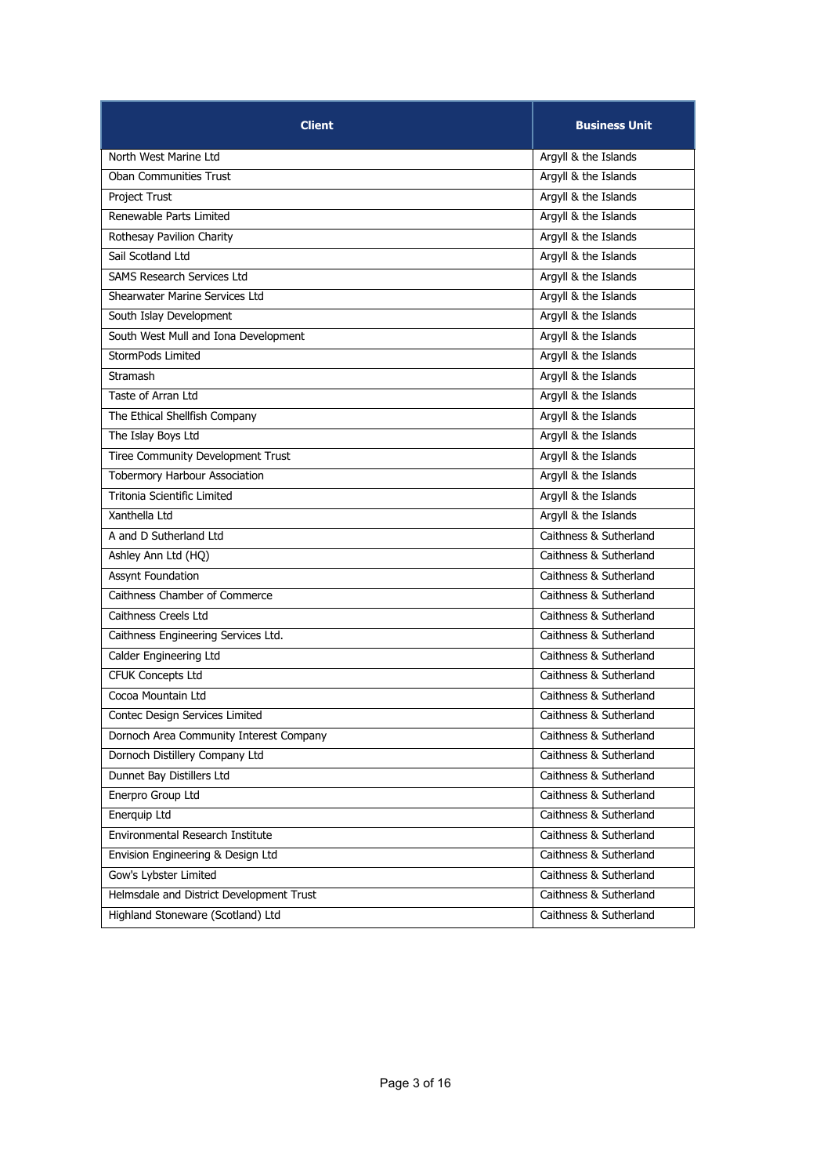| <b>Client</b>                            | <b>Business Unit</b>   |
|------------------------------------------|------------------------|
| North West Marine Ltd                    | Argyll & the Islands   |
| <b>Oban Communities Trust</b>            | Argyll & the Islands   |
| Project Trust                            | Argyll & the Islands   |
| Renewable Parts Limited                  | Argyll & the Islands   |
| Rothesay Pavilion Charity                | Argyll & the Islands   |
| Sail Scotland Ltd                        | Argyll & the Islands   |
| <b>SAMS Research Services Ltd</b>        | Argyll & the Islands   |
| Shearwater Marine Services Ltd           | Argyll & the Islands   |
| South Islay Development                  | Argyll & the Islands   |
| South West Mull and Iona Development     | Argyll & the Islands   |
| StormPods Limited                        | Argyll & the Islands   |
| Stramash                                 | Argyll & the Islands   |
| Taste of Arran Ltd                       | Argyll & the Islands   |
| The Ethical Shellfish Company            | Argyll & the Islands   |
| The Islay Boys Ltd                       | Argyll & the Islands   |
| <b>Tiree Community Development Trust</b> | Argyll & the Islands   |
| <b>Tobermory Harbour Association</b>     | Argyll & the Islands   |
| Tritonia Scientific Limited              | Argyll & the Islands   |
| Xanthella Ltd                            | Argyll & the Islands   |
| A and D Sutherland Ltd                   | Caithness & Sutherland |
| Ashley Ann Ltd (HQ)                      | Caithness & Sutherland |
| <b>Assynt Foundation</b>                 | Caithness & Sutherland |
| Caithness Chamber of Commerce            | Caithness & Sutherland |
| Caithness Creels Ltd                     | Caithness & Sutherland |
| Caithness Engineering Services Ltd.      | Caithness & Sutherland |
| Calder Engineering Ltd                   | Caithness & Sutherland |
| <b>CFUK Concepts Ltd</b>                 | Caithness & Sutherland |
| Cocoa Mountain Ltd                       | Caithness & Sutherland |
| Contec Design Services Limited           | Caithness & Sutherland |
| Dornoch Area Community Interest Company  | Caithness & Sutherland |
| Dornoch Distillery Company Ltd           | Caithness & Sutherland |
| Dunnet Bay Distillers Ltd                | Caithness & Sutherland |
| Enerpro Group Ltd                        | Caithness & Sutherland |
| Enerquip Ltd                             | Caithness & Sutherland |
| Environmental Research Institute         | Caithness & Sutherland |
| Envision Engineering & Design Ltd        | Caithness & Sutherland |
| Gow's Lybster Limited                    | Caithness & Sutherland |
| Helmsdale and District Development Trust | Caithness & Sutherland |
| Highland Stoneware (Scotland) Ltd        | Caithness & Sutherland |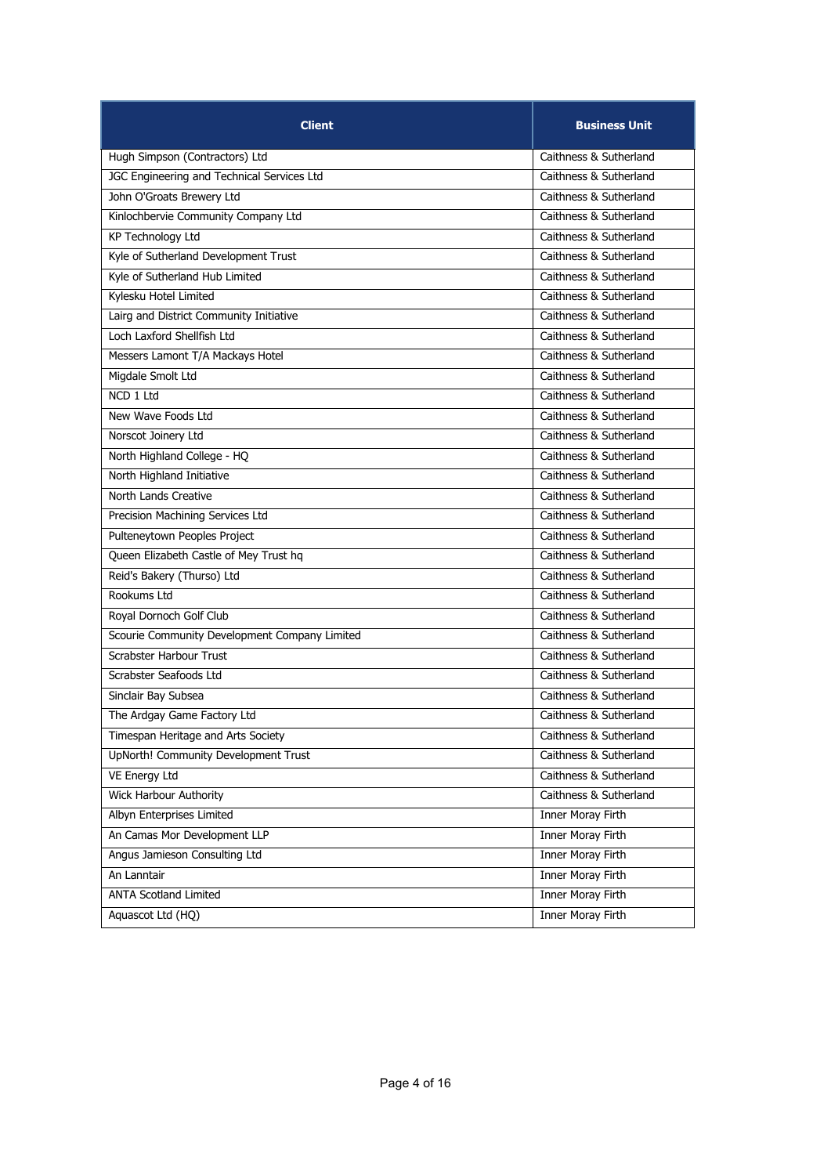| <b>Client</b>                                 | <b>Business Unit</b>     |
|-----------------------------------------------|--------------------------|
| Hugh Simpson (Contractors) Ltd                | Caithness & Sutherland   |
| JGC Engineering and Technical Services Ltd    | Caithness & Sutherland   |
| John O'Groats Brewery Ltd                     | Caithness & Sutherland   |
| Kinlochbervie Community Company Ltd           | Caithness & Sutherland   |
| <b>KP Technology Ltd</b>                      | Caithness & Sutherland   |
| Kyle of Sutherland Development Trust          | Caithness & Sutherland   |
| Kyle of Sutherland Hub Limited                | Caithness & Sutherland   |
| Kylesku Hotel Limited                         | Caithness & Sutherland   |
| Lairg and District Community Initiative       | Caithness & Sutherland   |
| Loch Laxford Shellfish Ltd                    | Caithness & Sutherland   |
| Messers Lamont T/A Mackays Hotel              | Caithness & Sutherland   |
| Migdale Smolt Ltd                             | Caithness & Sutherland   |
| NCD 1 Ltd                                     | Caithness & Sutherland   |
| New Wave Foods Ltd                            | Caithness & Sutherland   |
| Norscot Joinery Ltd                           | Caithness & Sutherland   |
| North Highland College - HQ                   | Caithness & Sutherland   |
| North Highland Initiative                     | Caithness & Sutherland   |
| North Lands Creative                          | Caithness & Sutherland   |
| Precision Machining Services Ltd              | Caithness & Sutherland   |
| Pulteneytown Peoples Project                  | Caithness & Sutherland   |
| Queen Elizabeth Castle of Mey Trust hq        | Caithness & Sutherland   |
| Reid's Bakery (Thurso) Ltd                    | Caithness & Sutherland   |
| Rookums Ltd                                   | Caithness & Sutherland   |
| Royal Dornoch Golf Club                       | Caithness & Sutherland   |
| Scourie Community Development Company Limited | Caithness & Sutherland   |
| Scrabster Harbour Trust                       | Caithness & Sutherland   |
| Scrabster Seafoods Ltd                        | Caithness & Sutherland   |
| Sinclair Bay Subsea                           | Caithness & Sutherland   |
| The Ardgay Game Factory Ltd                   | Caithness & Sutherland   |
| Timespan Heritage and Arts Society            | Caithness & Sutherland   |
| UpNorth! Community Development Trust          | Caithness & Sutherland   |
| VE Energy Ltd                                 | Caithness & Sutherland   |
| Wick Harbour Authority                        | Caithness & Sutherland   |
| Albyn Enterprises Limited                     | Inner Moray Firth        |
| An Camas Mor Development LLP                  | <b>Inner Moray Firth</b> |
| Angus Jamieson Consulting Ltd                 | Inner Moray Firth        |
| An Lanntair                                   | Inner Moray Firth        |
| <b>ANTA Scotland Limited</b>                  | Inner Moray Firth        |
| Aquascot Ltd (HQ)                             | Inner Moray Firth        |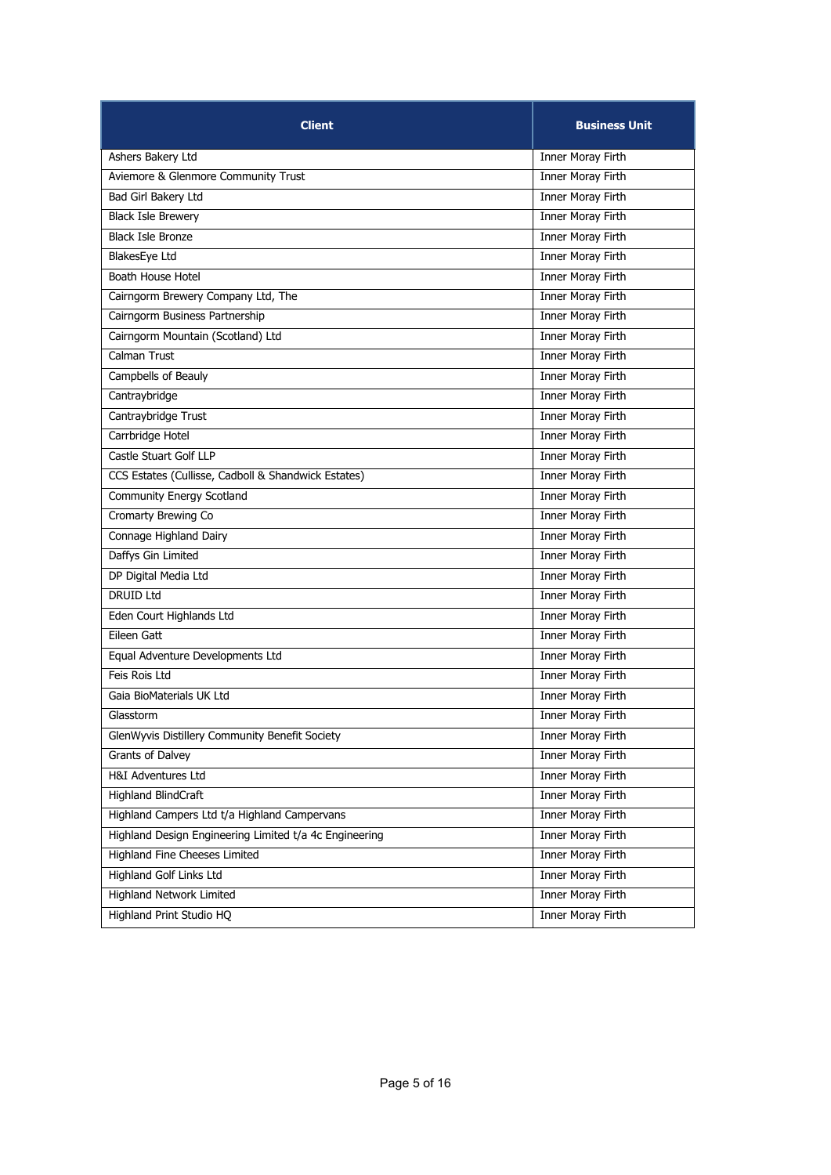| <b>Client</b>                                          | <b>Business Unit</b>     |
|--------------------------------------------------------|--------------------------|
| Ashers Bakery Ltd                                      | Inner Moray Firth        |
| Aviemore & Glenmore Community Trust                    | <b>Inner Moray Firth</b> |
| Bad Girl Bakery Ltd                                    | Inner Moray Firth        |
| <b>Black Isle Brewery</b>                              | Inner Moray Firth        |
| <b>Black Isle Bronze</b>                               | Inner Moray Firth        |
| BlakesEye Ltd                                          | Inner Moray Firth        |
| Boath House Hotel                                      | Inner Moray Firth        |
| Cairngorm Brewery Company Ltd, The                     | Inner Moray Firth        |
| Cairngorm Business Partnership                         | Inner Moray Firth        |
| Cairngorm Mountain (Scotland) Ltd                      | <b>Inner Moray Firth</b> |
| Calman Trust                                           | Inner Moray Firth        |
| Campbells of Beauly                                    | Inner Moray Firth        |
| Cantraybridge                                          | Inner Moray Firth        |
| Cantraybridge Trust                                    | Inner Moray Firth        |
| Carrbridge Hotel                                       | <b>Inner Moray Firth</b> |
| Castle Stuart Golf LLP                                 | Inner Moray Firth        |
| CCS Estates (Cullisse, Cadboll & Shandwick Estates)    | <b>Inner Moray Firth</b> |
| Community Energy Scotland                              | Inner Moray Firth        |
| Cromarty Brewing Co                                    | Inner Moray Firth        |
| Connage Highland Dairy                                 | Inner Moray Firth        |
| Daffys Gin Limited                                     | Inner Moray Firth        |
| DP Digital Media Ltd                                   | Inner Moray Firth        |
| <b>DRUID Ltd</b>                                       | <b>Inner Moray Firth</b> |
| Eden Court Highlands Ltd                               | Inner Moray Firth        |
| Eileen Gatt                                            | Inner Moray Firth        |
| Equal Adventure Developments Ltd                       | Inner Moray Firth        |
| Feis Rois Ltd                                          | Inner Moray Firth        |
| Gaia BioMaterials UK Ltd                               | Inner Moray Firth        |
| Glasstorm                                              | Inner Moray Firth        |
| GlenWyvis Distillery Community Benefit Society         | Inner Moray Firth        |
| Grants of Dalvey                                       | Inner Moray Firth        |
| H&I Adventures Ltd                                     | Inner Moray Firth        |
| <b>Highland BlindCraft</b>                             | <b>Inner Moray Firth</b> |
| Highland Campers Ltd t/a Highland Campervans           | Inner Moray Firth        |
| Highland Design Engineering Limited t/a 4c Engineering | <b>Inner Moray Firth</b> |
| Highland Fine Cheeses Limited                          | Inner Moray Firth        |
| <b>Highland Golf Links Ltd</b>                         | Inner Moray Firth        |
| <b>Highland Network Limited</b>                        | Inner Moray Firth        |
| Highland Print Studio HQ                               | Inner Moray Firth        |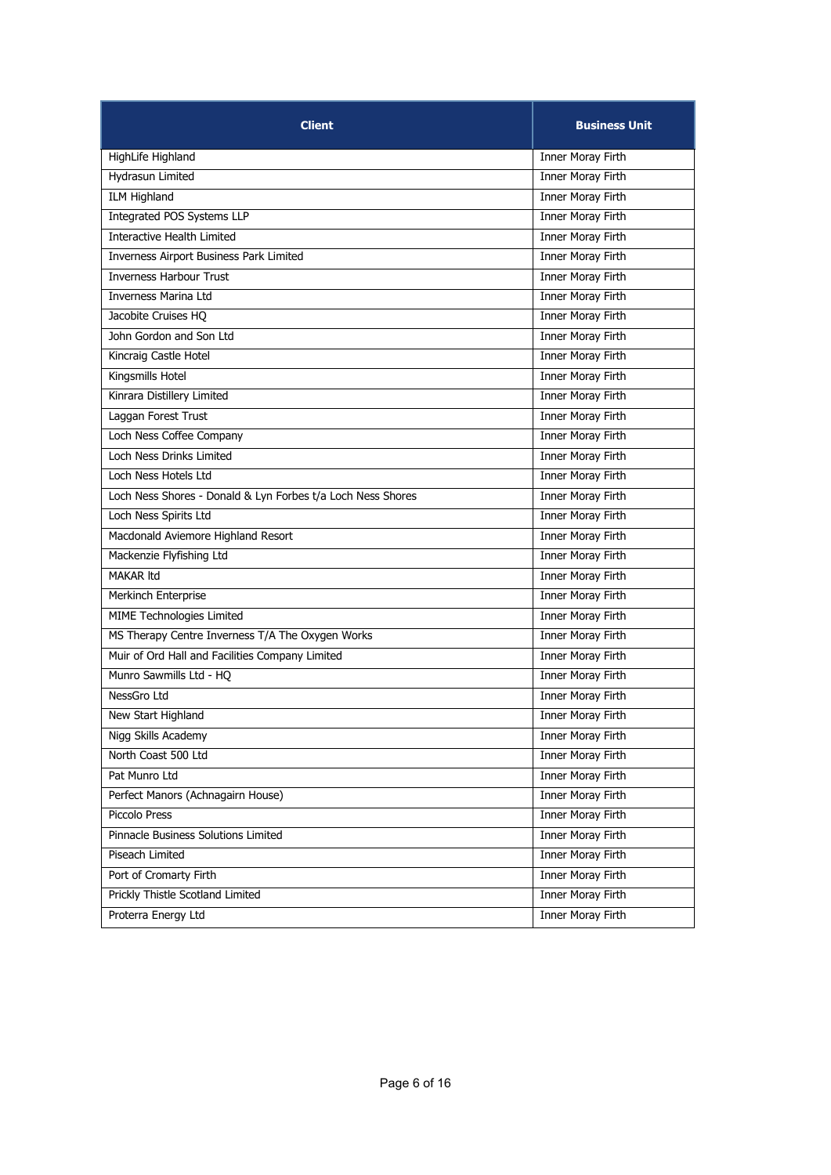| <b>Client</b>                                               | <b>Business Unit</b>     |
|-------------------------------------------------------------|--------------------------|
| HighLife Highland                                           | Inner Moray Firth        |
| <b>Hydrasun Limited</b>                                     | Inner Moray Firth        |
| <b>ILM Highland</b>                                         | Inner Moray Firth        |
| Integrated POS Systems LLP                                  | Inner Moray Firth        |
| Interactive Health Limited                                  | Inner Moray Firth        |
| Inverness Airport Business Park Limited                     | Inner Moray Firth        |
| <b>Inverness Harbour Trust</b>                              | Inner Moray Firth        |
| <b>Inverness Marina Ltd</b>                                 | Inner Moray Firth        |
| Jacobite Cruises HQ                                         | <b>Inner Moray Firth</b> |
| John Gordon and Son Ltd                                     | <b>Inner Moray Firth</b> |
| Kincraig Castle Hotel                                       | Inner Moray Firth        |
| Kingsmills Hotel                                            | Inner Moray Firth        |
| Kinrara Distillery Limited                                  | Inner Moray Firth        |
| Laggan Forest Trust                                         | Inner Moray Firth        |
| Loch Ness Coffee Company                                    | <b>Inner Moray Firth</b> |
| Loch Ness Drinks Limited                                    | Inner Moray Firth        |
| Loch Ness Hotels Ltd                                        | <b>Inner Moray Firth</b> |
| Loch Ness Shores - Donald & Lyn Forbes t/a Loch Ness Shores | <b>Inner Moray Firth</b> |
| Loch Ness Spirits Ltd                                       | Inner Moray Firth        |
| Macdonald Aviemore Highland Resort                          | Inner Moray Firth        |
| Mackenzie Flyfishing Ltd                                    | Inner Moray Firth        |
| <b>MAKAR Itd</b>                                            | <b>Inner Moray Firth</b> |
| Merkinch Enterprise                                         | <b>Inner Moray Firth</b> |
| MIME Technologies Limited                                   | Inner Moray Firth        |
| MS Therapy Centre Inverness T/A The Oxygen Works            | Inner Moray Firth        |
| Muir of Ord Hall and Facilities Company Limited             | Inner Moray Firth        |
| Munro Sawmills Ltd - HQ                                     | Inner Moray Firth        |
| NessGro Ltd                                                 | Inner Moray Firth        |
| New Start Highland                                          | Inner Moray Firth        |
| Nigg Skills Academy                                         | Inner Moray Firth        |
| North Coast 500 Ltd                                         | Inner Moray Firth        |
| Pat Munro Ltd                                               | <b>Inner Moray Firth</b> |
| Perfect Manors (Achnagairn House)                           | Inner Moray Firth        |
| Piccolo Press                                               | Inner Moray Firth        |
| Pinnacle Business Solutions Limited                         | Inner Moray Firth        |
| Piseach Limited                                             | Inner Moray Firth        |
| Port of Cromarty Firth                                      | Inner Moray Firth        |
| Prickly Thistle Scotland Limited                            | <b>Inner Moray Firth</b> |
| Proterra Energy Ltd                                         | Inner Moray Firth        |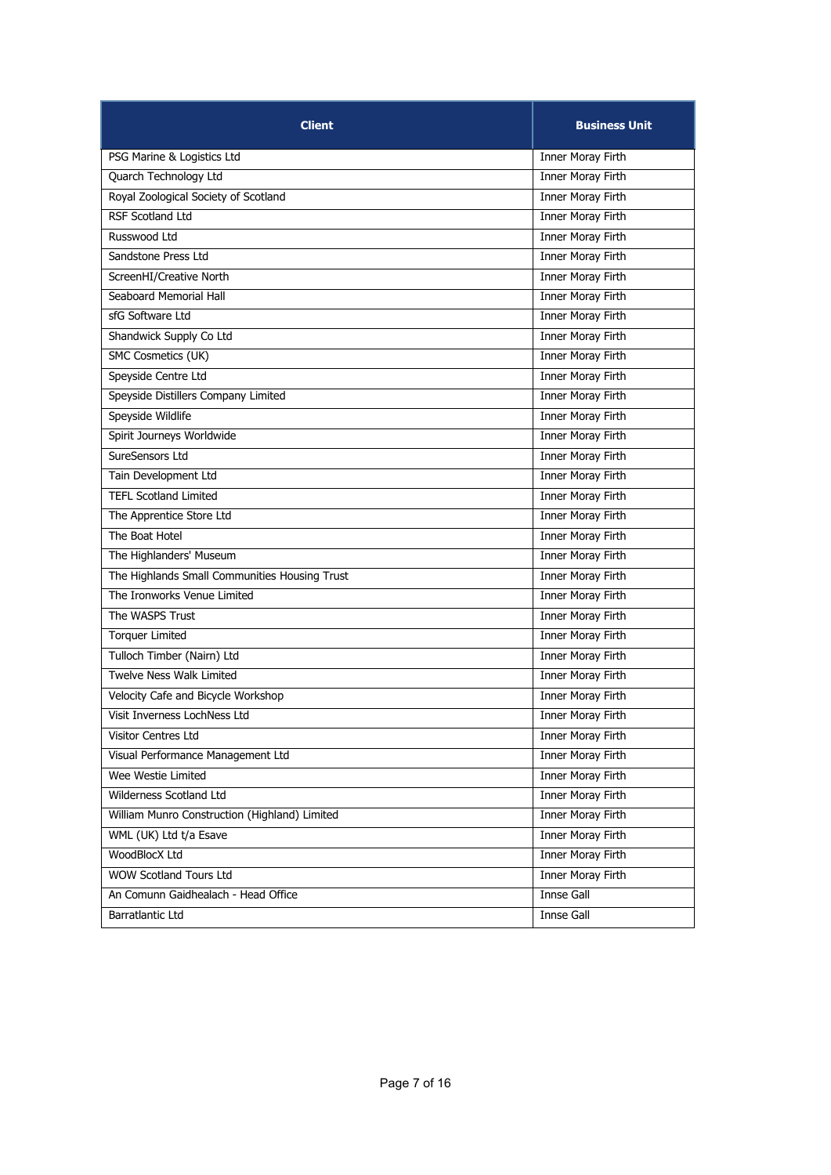| <b>Client</b>                                 | <b>Business Unit</b>     |
|-----------------------------------------------|--------------------------|
| PSG Marine & Logistics Ltd                    | Inner Moray Firth        |
| Quarch Technology Ltd                         | <b>Inner Moray Firth</b> |
| Royal Zoological Society of Scotland          | Inner Moray Firth        |
| <b>RSF Scotland Ltd</b>                       | <b>Inner Moray Firth</b> |
| Russwood Ltd                                  | Inner Moray Firth        |
| Sandstone Press Ltd                           | Inner Moray Firth        |
| ScreenHI/Creative North                       | Inner Moray Firth        |
| Seaboard Memorial Hall                        | Inner Moray Firth        |
| sfG Software Ltd                              | <b>Inner Moray Firth</b> |
| Shandwick Supply Co Ltd                       | <b>Inner Moray Firth</b> |
| SMC Cosmetics (UK)                            | Inner Moray Firth        |
| Speyside Centre Ltd                           | Inner Moray Firth        |
| Speyside Distillers Company Limited           | Inner Moray Firth        |
| Speyside Wildlife                             | Inner Moray Firth        |
| Spirit Journeys Worldwide                     | <b>Inner Moray Firth</b> |
| SureSensors Ltd                               | Inner Moray Firth        |
| Tain Development Ltd                          | <b>Inner Moray Firth</b> |
| <b>TEFL Scotland Limited</b>                  | Inner Moray Firth        |
| The Apprentice Store Ltd                      | Inner Moray Firth        |
| The Boat Hotel                                | Inner Moray Firth        |
| The Highlanders' Museum                       | Inner Moray Firth        |
| The Highlands Small Communities Housing Trust | <b>Inner Moray Firth</b> |
| The Ironworks Venue Limited                   | <b>Inner Moray Firth</b> |
| The WASPS Trust                               | Inner Moray Firth        |
| <b>Torquer Limited</b>                        | <b>Inner Moray Firth</b> |
| Tulloch Timber (Nairn) Ltd                    | Inner Moray Firth        |
| <b>Twelve Ness Walk Limited</b>               | Inner Moray Firth        |
| Velocity Cafe and Bicycle Workshop            | Inner Moray Firth        |
| Visit Inverness LochNess Ltd                  | Inner Moray Firth        |
| <b>Visitor Centres Ltd</b>                    | Inner Moray Firth        |
| Visual Performance Management Ltd             | Inner Moray Firth        |
| Wee Westie Limited                            | Inner Moray Firth        |
| Wilderness Scotland Ltd                       | Inner Moray Firth        |
| William Munro Construction (Highland) Limited | Inner Moray Firth        |
| WML (UK) Ltd t/a Esave                        | <b>Inner Moray Firth</b> |
| WoodBlocX Ltd                                 | Inner Moray Firth        |
| WOW Scotland Tours Ltd                        | Inner Moray Firth        |
| An Comunn Gaidhealach - Head Office           | Innse Gall               |
| Barratlantic Ltd                              | Innse Gall               |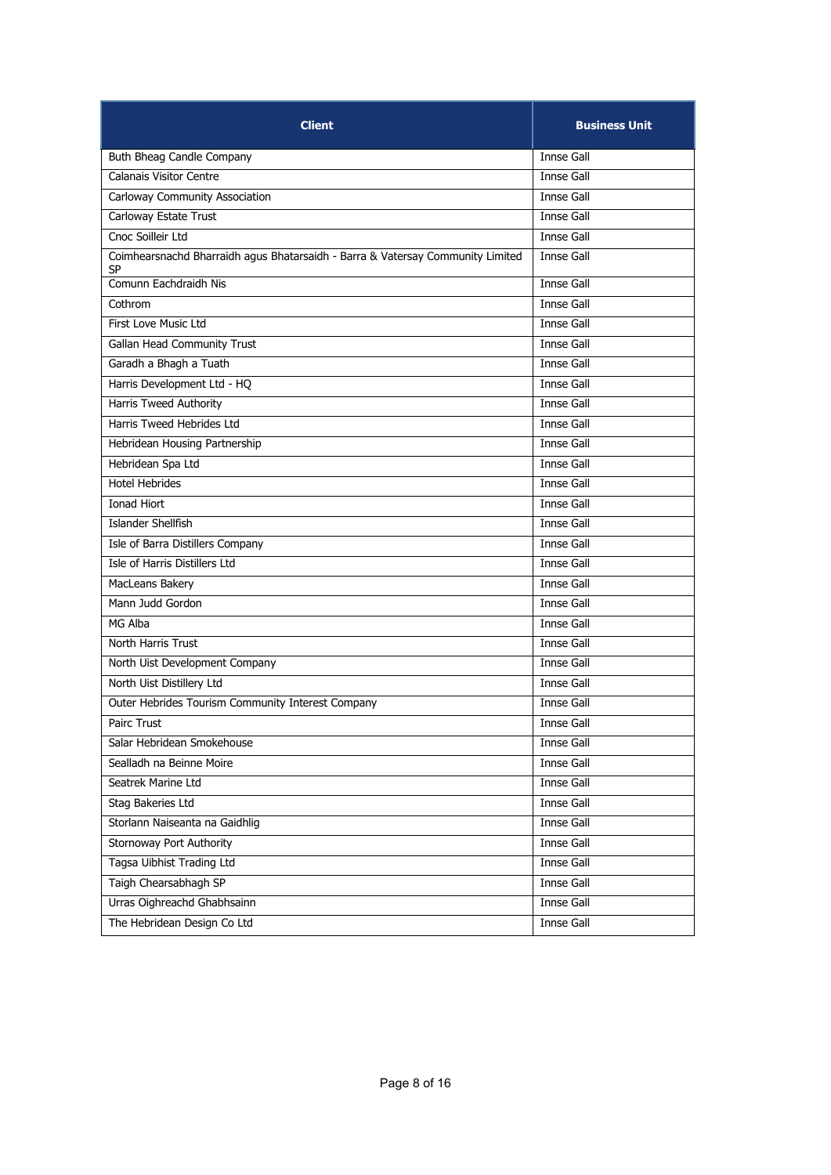| <b>Client</b>                                                                        | <b>Business Unit</b> |
|--------------------------------------------------------------------------------------|----------------------|
| Buth Bheag Candle Company                                                            | Innse Gall           |
| Calanais Visitor Centre                                                              | Innse Gall           |
| Carloway Community Association                                                       | Innse Gall           |
| Carloway Estate Trust                                                                | Innse Gall           |
| Cnoc Soilleir Ltd                                                                    | Innse Gall           |
| Coimhearsnachd Bharraidh agus Bhatarsaidh - Barra & Vatersay Community Limited<br>SP | Innse Gall           |
| Comunn Eachdraidh Nis                                                                | Innse Gall           |
| Cothrom                                                                              | Innse Gall           |
| First Love Music Ltd                                                                 | Innse Gall           |
| Gallan Head Community Trust                                                          | Innse Gall           |
| Garadh a Bhagh a Tuath                                                               | Innse Gall           |
| Harris Development Ltd - HQ                                                          | Innse Gall           |
| <b>Harris Tweed Authority</b>                                                        | Innse Gall           |
| Harris Tweed Hebrides Ltd                                                            | Innse Gall           |
| Hebridean Housing Partnership                                                        | Innse Gall           |
| Hebridean Spa Ltd                                                                    | <b>Innse Gall</b>    |
| <b>Hotel Hebrides</b>                                                                | <b>Innse Gall</b>    |
| Ionad Hiort                                                                          | Innse Gall           |
| <b>Islander Shellfish</b>                                                            | Innse Gall           |
| Isle of Barra Distillers Company                                                     | Innse Gall           |
| Isle of Harris Distillers Ltd                                                        | Innse Gall           |
| MacLeans Bakery                                                                      | Innse Gall           |
| Mann Judd Gordon                                                                     | Innse Gall           |
| MG Alba                                                                              | Innse Gall           |
| North Harris Trust                                                                   | Innse Gall           |
| North Uist Development Company                                                       | Innse Gall           |
| North Uist Distillery Ltd                                                            | Innse Gall           |
| Outer Hebrides Tourism Community Interest Company                                    | Innse Gall           |
| Pairc Trust                                                                          | <b>Innse Gall</b>    |
| Salar Hebridean Smokehouse                                                           | Innse Gall           |
| Sealladh na Beinne Moire                                                             | <b>Innse Gall</b>    |
| Seatrek Marine Ltd                                                                   | Innse Gall           |
| Stag Bakeries Ltd                                                                    | Innse Gall           |
| Storlann Naiseanta na Gaidhlig                                                       | Innse Gall           |
| Stornoway Port Authority                                                             | Innse Gall           |
| Tagsa Uibhist Trading Ltd                                                            | Innse Gall           |
| Taigh Chearsabhagh SP                                                                | <b>Innse Gall</b>    |
| Urras Oighreachd Ghabhsainn                                                          | Innse Gall           |
| The Hebridean Design Co Ltd                                                          | Innse Gall           |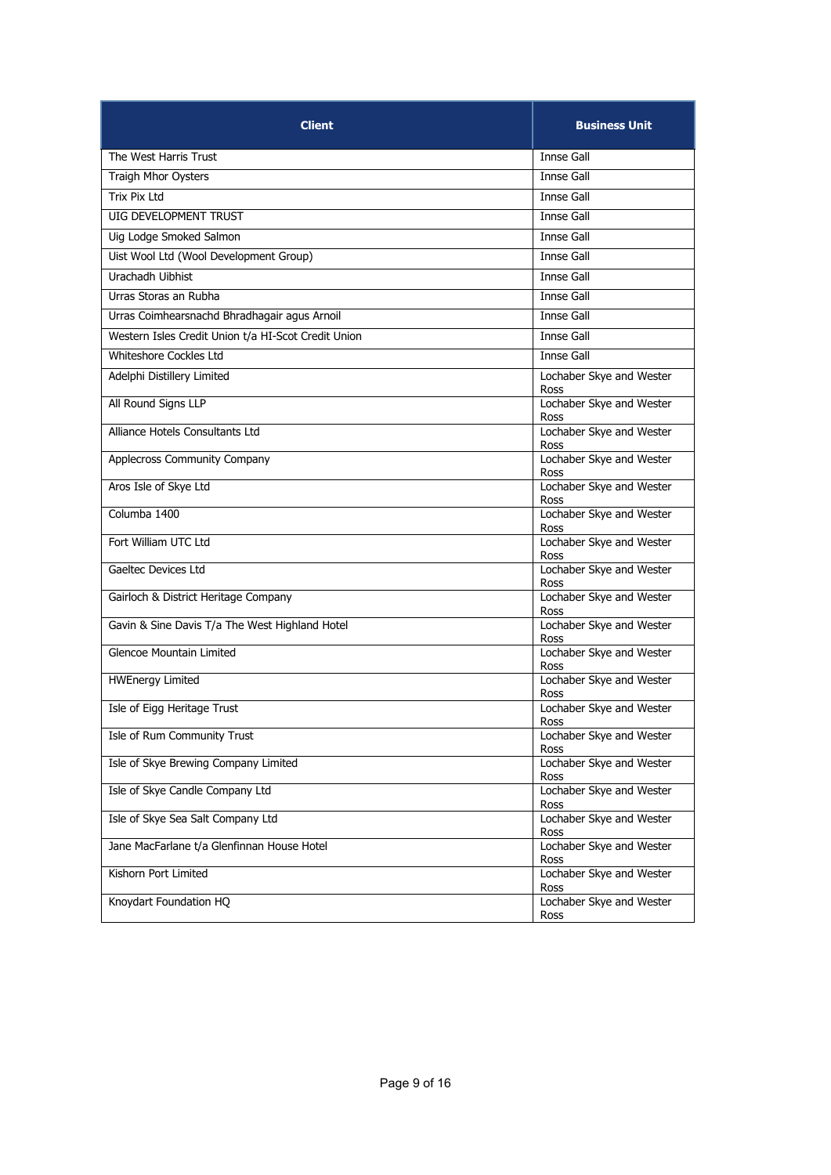| <b>Client</b>                                       | <b>Business Unit</b>             |
|-----------------------------------------------------|----------------------------------|
| The West Harris Trust                               | Innse Gall                       |
| Traigh Mhor Oysters                                 | Innse Gall                       |
| Trix Pix Ltd                                        | <b>Innse Gall</b>                |
| UIG DEVELOPMENT TRUST                               | Innse Gall                       |
| Uig Lodge Smoked Salmon                             | Innse Gall                       |
| Uist Wool Ltd (Wool Development Group)              | Innse Gall                       |
| Urachadh Uibhist                                    | Innse Gall                       |
| Urras Storas an Rubha                               | Innse Gall                       |
| Urras Coimhearsnachd Bhradhagair agus Arnoil        | Innse Gall                       |
| Western Isles Credit Union t/a HI-Scot Credit Union | Innse Gall                       |
| Whiteshore Cockles Ltd                              | Innse Gall                       |
| Adelphi Distillery Limited                          | Lochaber Skye and Wester<br>Ross |
| All Round Signs LLP                                 | Lochaber Skye and Wester<br>Ross |
| Alliance Hotels Consultants Ltd                     | Lochaber Skye and Wester<br>Ross |
| <b>Applecross Community Company</b>                 | Lochaber Skye and Wester<br>Ross |
| Aros Isle of Skye Ltd                               | Lochaber Skye and Wester<br>Ross |
| Columba 1400                                        | Lochaber Skye and Wester<br>Ross |
| Fort William UTC Ltd                                | Lochaber Skye and Wester<br>Ross |
| Gaeltec Devices Ltd                                 | Lochaber Skye and Wester<br>Ross |
| Gairloch & District Heritage Company                | Lochaber Skye and Wester<br>Ross |
| Gavin & Sine Davis T/a The West Highland Hotel      | Lochaber Skye and Wester<br>Ross |
| Glencoe Mountain Limited                            | Lochaber Skye and Wester<br>Ross |
| <b>HWEnergy Limited</b>                             | Lochaber Skye and Wester<br>Ross |
| Isle of Eigg Heritage Trust                         | Lochaber Skye and Wester<br>Ross |
| Isle of Rum Community Trust                         | Lochaber Skye and Wester<br>Ross |
| Isle of Skye Brewing Company Limited                | Lochaber Skye and Wester<br>Ross |
| Isle of Skye Candle Company Ltd                     | Lochaber Skye and Wester<br>Ross |
| Isle of Skye Sea Salt Company Ltd                   | Lochaber Skye and Wester<br>Ross |
| Jane MacFarlane t/a Glenfinnan House Hotel          | Lochaber Skye and Wester<br>Ross |
| Kishorn Port Limited                                | Lochaber Skye and Wester<br>Ross |
| Knoydart Foundation HQ                              | Lochaber Skye and Wester<br>Ross |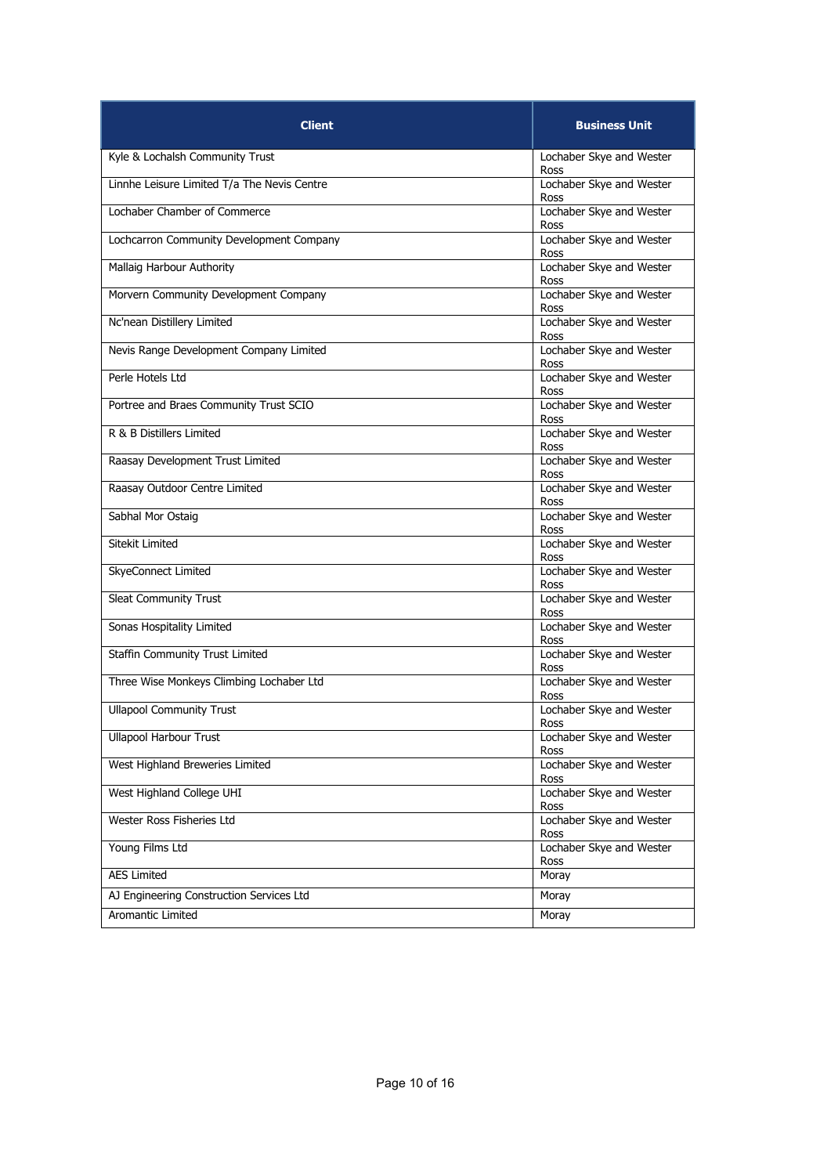| <b>Client</b>                               | <b>Business Unit</b>             |
|---------------------------------------------|----------------------------------|
| Kyle & Lochalsh Community Trust             | Lochaber Skye and Wester<br>Ross |
| Linnhe Leisure Limited T/a The Nevis Centre | Lochaber Skye and Wester<br>Ross |
| Lochaber Chamber of Commerce                | Lochaber Skye and Wester<br>Ross |
| Lochcarron Community Development Company    | Lochaber Skye and Wester<br>Ross |
| Mallaig Harbour Authority                   | Lochaber Skye and Wester<br>Ross |
| Morvern Community Development Company       | Lochaber Skye and Wester<br>Ross |
| Nc'nean Distillery Limited                  | Lochaber Skye and Wester<br>Ross |
| Nevis Range Development Company Limited     | Lochaber Skye and Wester<br>Ross |
| Perle Hotels Ltd                            | Lochaber Skye and Wester<br>Ross |
| Portree and Braes Community Trust SCIO      | Lochaber Skye and Wester<br>Ross |
| R & B Distillers Limited                    | Lochaber Skye and Wester<br>Ross |
| Raasay Development Trust Limited            | Lochaber Skye and Wester<br>Ross |
| Raasay Outdoor Centre Limited               | Lochaber Skye and Wester<br>Ross |
| Sabhal Mor Ostaig                           | Lochaber Skye and Wester<br>Ross |
| Sitekit Limited                             | Lochaber Skye and Wester<br>Ross |
| SkyeConnect Limited                         | Lochaber Skye and Wester<br>Ross |
| Sleat Community Trust                       | Lochaber Skye and Wester<br>Ross |
| Sonas Hospitality Limited                   | Lochaber Skye and Wester<br>Ross |
| Staffin Community Trust Limited             | Lochaber Skye and Wester<br>Ross |
| Three Wise Monkeys Climbing Lochaber Ltd    | Lochaber Skye and Wester<br>Ross |
| <b>Ullapool Community Trust</b>             | Lochaber Skye and Wester<br>Ross |
| <b>Ullapool Harbour Trust</b>               | Lochaber Skye and Wester<br>Ross |
| West Highland Breweries Limited             | Lochaber Skye and Wester<br>Ross |
| West Highland College UHI                   | Lochaber Skye and Wester<br>Ross |
| Wester Ross Fisheries Ltd                   | Lochaber Skye and Wester<br>Ross |
| Young Films Ltd                             | Lochaber Skye and Wester<br>Ross |
| <b>AES Limited</b>                          | Moray                            |
| AJ Engineering Construction Services Ltd    | Moray                            |
| Aromantic Limited                           | Moray                            |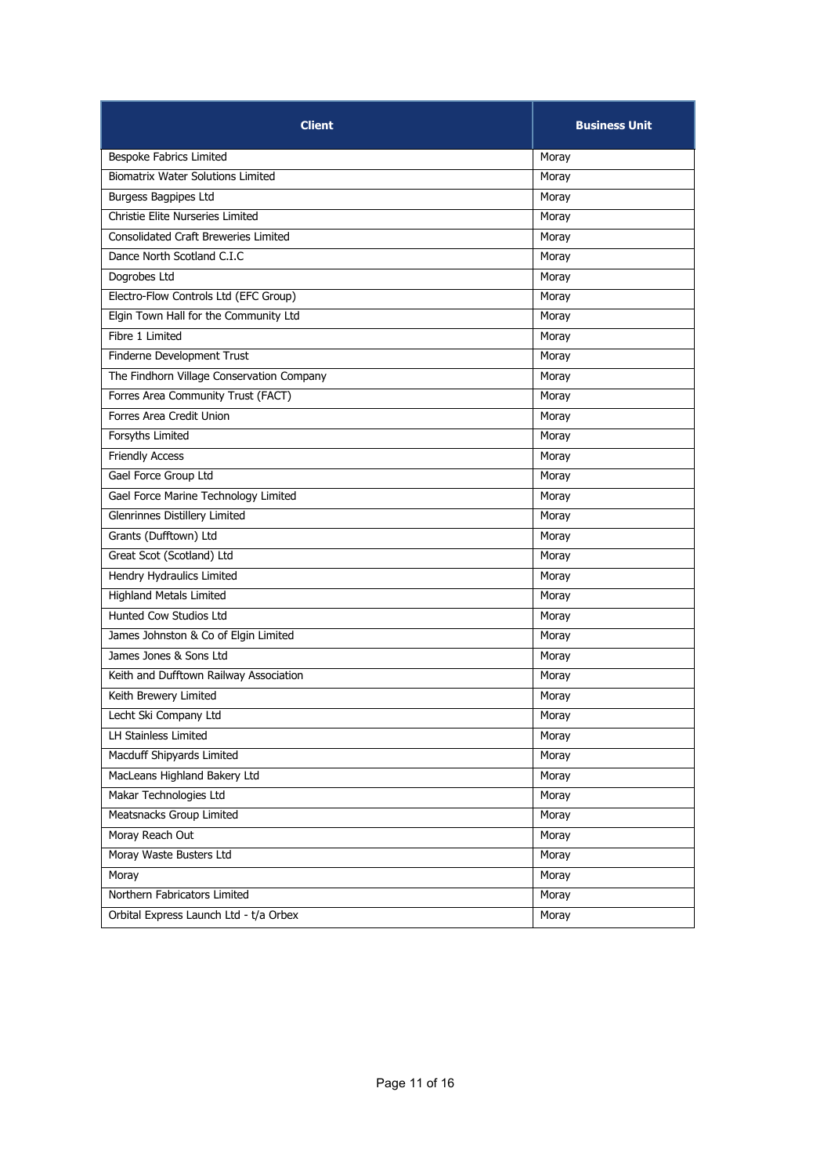| <b>Client</b>                               | <b>Business Unit</b> |
|---------------------------------------------|----------------------|
| Bespoke Fabrics Limited                     | Moray                |
| <b>Biomatrix Water Solutions Limited</b>    | Moray                |
| Burgess Bagpipes Ltd                        | Moray                |
| Christie Elite Nurseries Limited            | Moray                |
| <b>Consolidated Craft Breweries Limited</b> | Moray                |
| Dance North Scotland C.I.C                  | Moray                |
| Dogrobes Ltd                                | Moray                |
| Electro-Flow Controls Ltd (EFC Group)       | Moray                |
| Elgin Town Hall for the Community Ltd       | Moray                |
| Fibre 1 Limited                             | Moray                |
| Finderne Development Trust                  | Moray                |
| The Findhorn Village Conservation Company   | Moray                |
| Forres Area Community Trust (FACT)          | Moray                |
| Forres Area Credit Union                    | Moray                |
| Forsyths Limited                            | Moray                |
| <b>Friendly Access</b>                      | Moray                |
| Gael Force Group Ltd                        | Moray                |
| Gael Force Marine Technology Limited        | Moray                |
| Glenrinnes Distillery Limited               | Moray                |
| Grants (Dufftown) Ltd                       | Moray                |
| Great Scot (Scotland) Ltd                   | Moray                |
| Hendry Hydraulics Limited                   | Moray                |
| <b>Highland Metals Limited</b>              | Moray                |
| Hunted Cow Studios Ltd                      | Moray                |
| James Johnston & Co of Elgin Limited        | Moray                |
| James Jones & Sons Ltd                      | Moray                |
| Keith and Dufftown Railway Association      | Moray                |
| Keith Brewery Limited                       | Moray                |
| Lecht Ski Company Ltd                       | Moray                |
| LH Stainless Limited                        | Moray                |
| Macduff Shipyards Limited                   | Moray                |
| MacLeans Highland Bakery Ltd                | Moray                |
| Makar Technologies Ltd                      | Moray                |
| Meatsnacks Group Limited                    | Moray                |
| Moray Reach Out                             | Moray                |
| Moray Waste Busters Ltd                     | Moray                |
| Moray                                       | Moray                |
| Northern Fabricators Limited                | Moray                |
| Orbital Express Launch Ltd - t/a Orbex      | Moray                |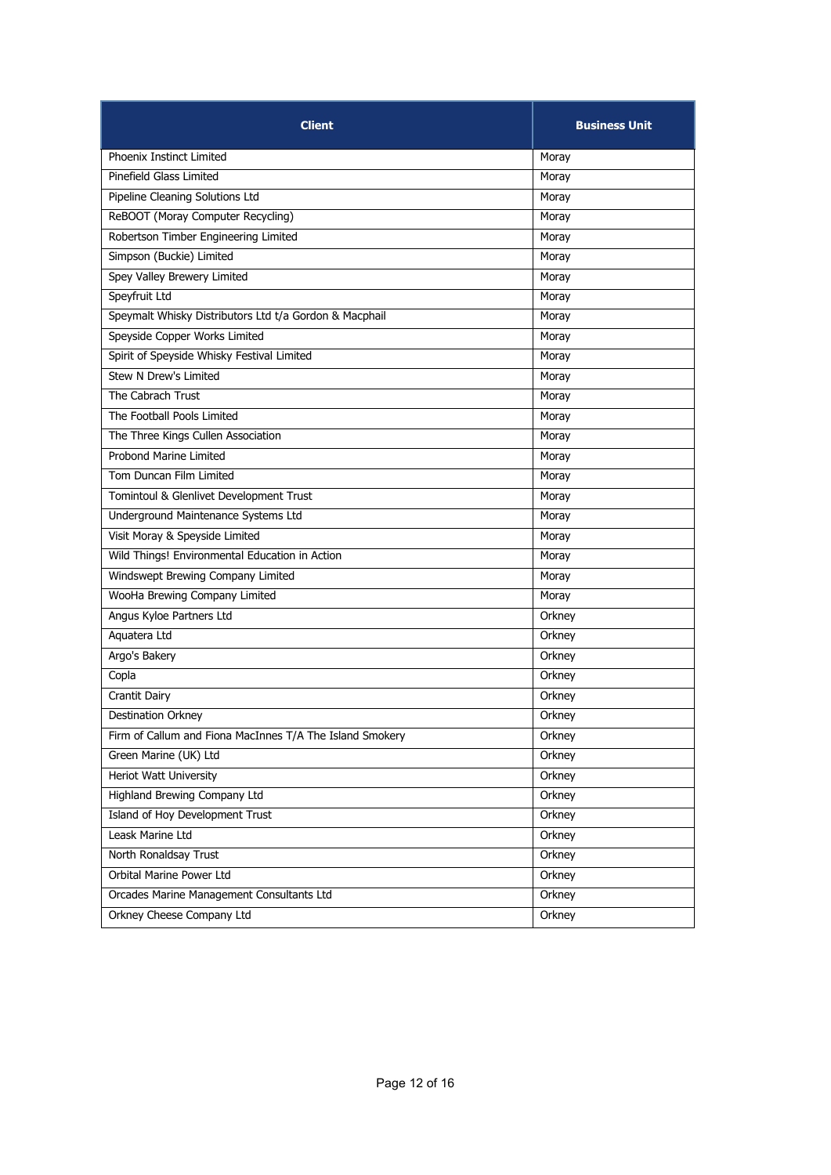| <b>Client</b>                                            | <b>Business Unit</b> |
|----------------------------------------------------------|----------------------|
| Phoenix Instinct Limited                                 | Moray                |
| Pinefield Glass Limited                                  | Moray                |
| Pipeline Cleaning Solutions Ltd                          | Moray                |
| ReBOOT (Moray Computer Recycling)                        | Moray                |
| Robertson Timber Engineering Limited                     | Moray                |
| Simpson (Buckie) Limited                                 | Moray                |
| Spey Valley Brewery Limited                              | Moray                |
| Speyfruit Ltd                                            | Moray                |
| Speymalt Whisky Distributors Ltd t/a Gordon & Macphail   | Moray                |
| Speyside Copper Works Limited                            | Moray                |
| Spirit of Speyside Whisky Festival Limited               | Moray                |
| Stew N Drew's Limited                                    | Moray                |
| The Cabrach Trust                                        | Moray                |
| The Football Pools Limited                               | Moray                |
| The Three Kings Cullen Association                       | Moray                |
| Probond Marine Limited                                   | Moray                |
| Tom Duncan Film Limited                                  | Moray                |
| Tomintoul & Glenlivet Development Trust                  | Moray                |
| Underground Maintenance Systems Ltd                      | Moray                |
| Visit Moray & Speyside Limited                           | Moray                |
| Wild Things! Environmental Education in Action           | Moray                |
| Windswept Brewing Company Limited                        | Moray                |
| WooHa Brewing Company Limited                            | Moray                |
| Angus Kyloe Partners Ltd                                 | Orkney               |
| Aquatera Ltd                                             | Orkney               |
| Argo's Bakery                                            | Orkney               |
| Copla                                                    | Orkney               |
| <b>Crantit Dairy</b>                                     | Orkney               |
| <b>Destination Orkney</b>                                | Orkney               |
| Firm of Callum and Fiona MacInnes T/A The Island Smokery | Orkney               |
| Green Marine (UK) Ltd                                    | Orkney               |
| Heriot Watt University                                   | Orkney               |
| <b>Highland Brewing Company Ltd</b>                      | Orkney               |
| Island of Hoy Development Trust                          | Orkney               |
| Leask Marine Ltd                                         | Orkney               |
| North Ronaldsay Trust                                    | Orkney               |
| Orbital Marine Power Ltd                                 | Orkney               |
| Orcades Marine Management Consultants Ltd                | Orkney               |
| Orkney Cheese Company Ltd                                | Orkney               |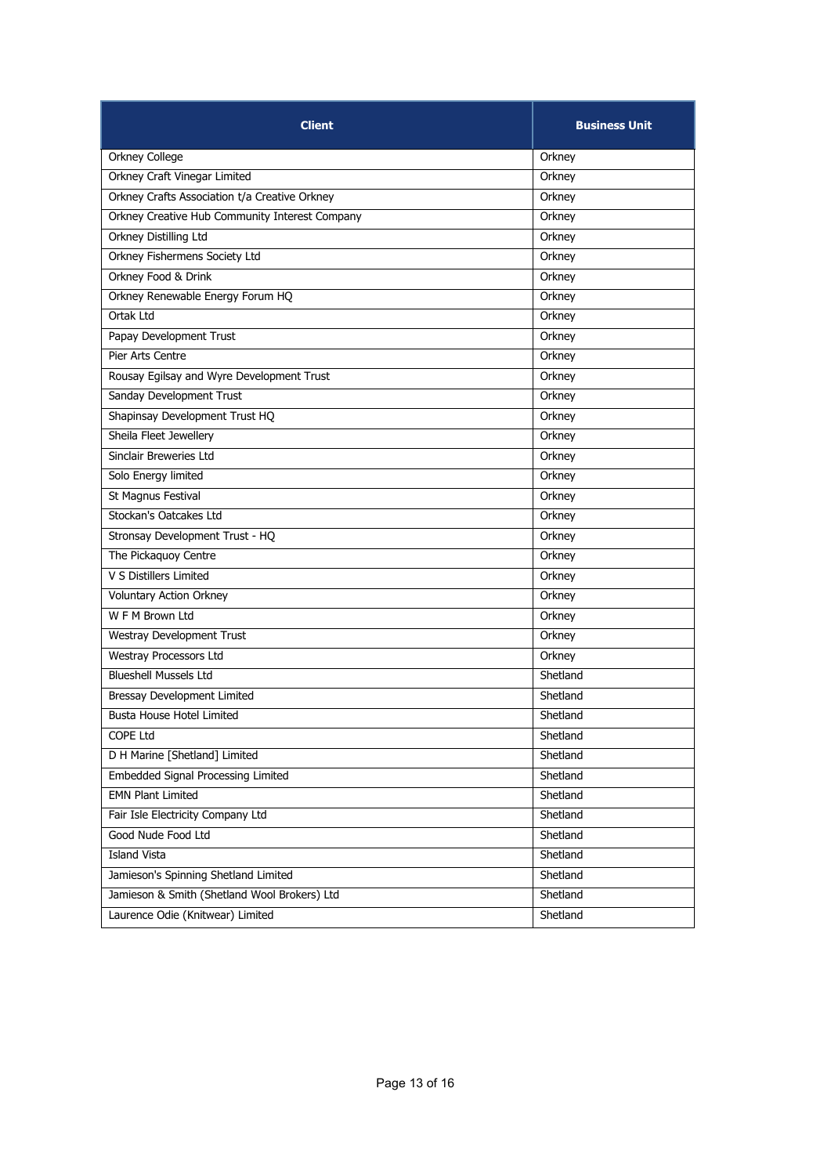| <b>Client</b>                                  | <b>Business Unit</b> |
|------------------------------------------------|----------------------|
| <b>Orkney College</b>                          | Orkney               |
| Orkney Craft Vinegar Limited                   | Orkney               |
| Orkney Crafts Association t/a Creative Orkney  | Orkney               |
| Orkney Creative Hub Community Interest Company | Orkney               |
| Orkney Distilling Ltd                          | Orkney               |
| Orkney Fishermens Society Ltd                  | Orkney               |
| Orkney Food & Drink                            | Orkney               |
| Orkney Renewable Energy Forum HQ               | Orkney               |
| Ortak Ltd                                      | Orkney               |
| Papay Development Trust                        | Orkney               |
| Pier Arts Centre                               | Orkney               |
| Rousay Egilsay and Wyre Development Trust      | Orkney               |
| Sanday Development Trust                       | Orkney               |
| Shapinsay Development Trust HQ                 | Orkney               |
| Sheila Fleet Jewellery                         | Orkney               |
| Sinclair Breweries Ltd                         | Orkney               |
| Solo Energy limited                            | Orkney               |
| St Magnus Festival                             | Orkney               |
| Stockan's Oatcakes Ltd                         | Orkney               |
| Stronsay Development Trust - HQ                | Orkney               |
| The Pickaguoy Centre                           | Orkney               |
| V S Distillers Limited                         | Orkney               |
| <b>Voluntary Action Orkney</b>                 | Orkney               |
| W F M Brown Ltd                                | Orkney               |
| Westray Development Trust                      | Orkney               |
| Westray Processors Ltd                         | Orkney               |
| <b>Blueshell Mussels Ltd</b>                   | Shetland             |
| Bressay Development Limited                    | Shetland             |
| <b>Busta House Hotel Limited</b>               | Shetland             |
| <b>COPE Ltd</b>                                | Shetland             |
| D H Marine [Shetland] Limited                  | Shetland             |
| Embedded Signal Processing Limited             | Shetland             |
| <b>EMN Plant Limited</b>                       | Shetland             |
| Fair Isle Electricity Company Ltd              | Shetland             |
| Good Nude Food Ltd                             | Shetland             |
| <b>Island Vista</b>                            | Shetland             |
| Jamieson's Spinning Shetland Limited           | Shetland             |
| Jamieson & Smith (Shetland Wool Brokers) Ltd   | Shetland             |
| Laurence Odie (Knitwear) Limited               | Shetland             |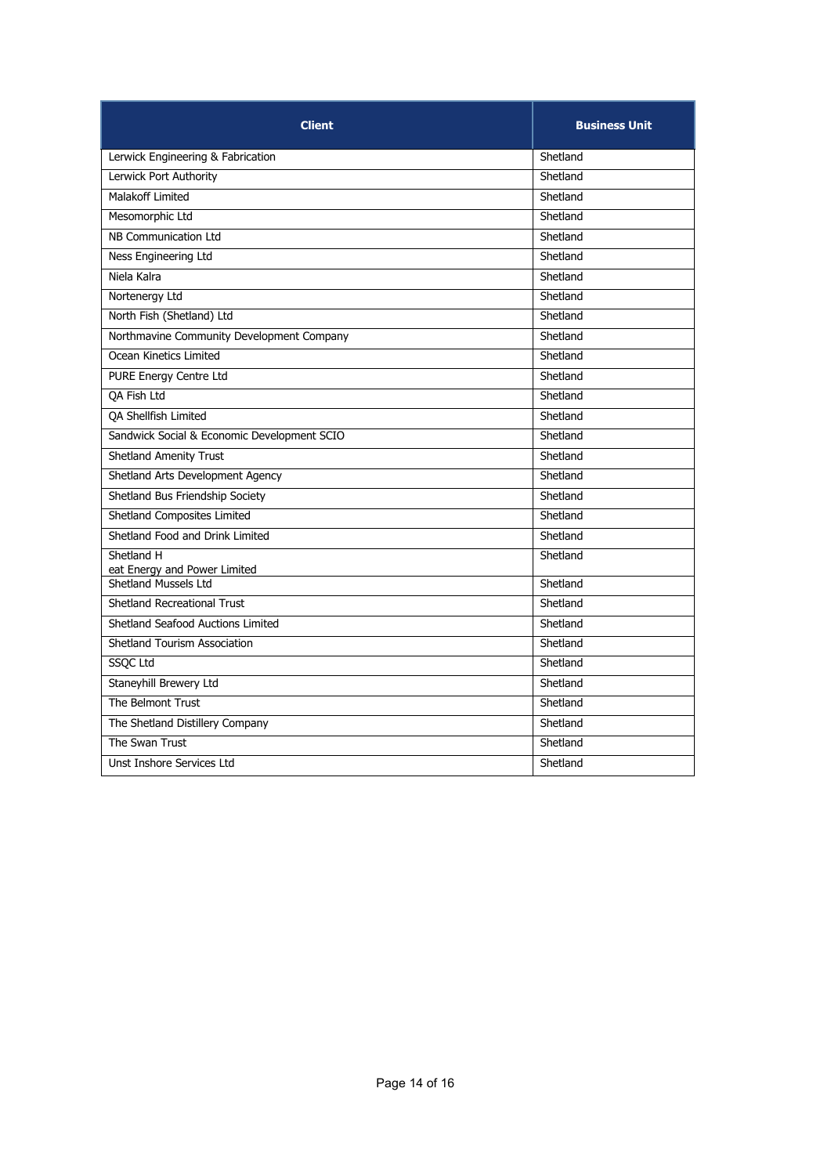| <b>Client</b>                               | <b>Business Unit</b> |
|---------------------------------------------|----------------------|
| Lerwick Engineering & Fabrication           | Shetland             |
| Lerwick Port Authority                      | Shetland             |
| Malakoff Limited                            | Shetland             |
| Mesomorphic Ltd                             | Shetland             |
| NB Communication Ltd                        | Shetland             |
| Ness Engineering Ltd                        | Shetland             |
| Niela Kalra                                 | Shetland             |
| Nortenergy Ltd                              | Shetland             |
| North Fish (Shetland) Ltd                   | Shetland             |
| Northmavine Community Development Company   | Shetland             |
| Ocean Kinetics Limited                      | Shetland             |
| <b>PURE Energy Centre Ltd</b>               | Shetland             |
| QA Fish Ltd                                 | Shetland             |
| QA Shellfish Limited                        | Shetland             |
| Sandwick Social & Economic Development SCIO | Shetland             |
| <b>Shetland Amenity Trust</b>               | Shetland             |
| Shetland Arts Development Agency            | Shetland             |
| Shetland Bus Friendship Society             | Shetland             |
| Shetland Composites Limited                 | Shetland             |
| Shetland Food and Drink Limited             | Shetland             |
| Shetland H<br>eat Energy and Power Limited  | Shetland             |
| Shetland Mussels Ltd                        | Shetland             |
| <b>Shetland Recreational Trust</b>          | Shetland             |
| Shetland Seafood Auctions Limited           | Shetland             |
| <b>Shetland Tourism Association</b>         | Shetland             |
| <b>SSOC Ltd</b>                             | Shetland             |
| Staneyhill Brewery Ltd                      | Shetland             |
| The Belmont Trust                           | Shetland             |
| The Shetland Distillery Company             | Shetland             |
| The Swan Trust                              | Shetland             |
| Unst Inshore Services Ltd                   | Shetland             |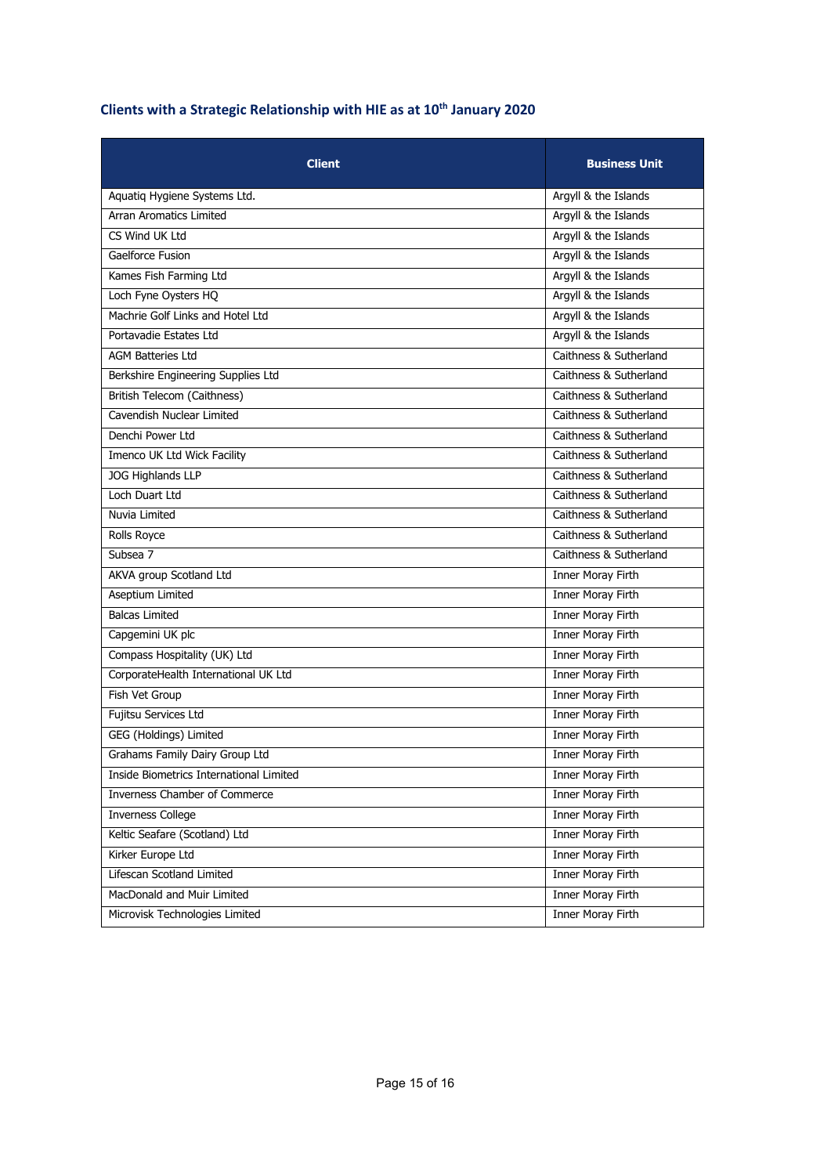## **Clients with a Strategic Relationship with HIE as at 10th January 2020**

| <b>Client</b>                           | <b>Business Unit</b>     |
|-----------------------------------------|--------------------------|
| Aquatiq Hygiene Systems Ltd.            | Argyll & the Islands     |
| Arran Aromatics Limited                 | Argyll & the Islands     |
| CS Wind UK Ltd                          | Argyll & the Islands     |
| Gaelforce Fusion                        | Argyll & the Islands     |
| Kames Fish Farming Ltd                  | Argyll & the Islands     |
| Loch Fyne Oysters HQ                    | Argyll & the Islands     |
| Machrie Golf Links and Hotel Ltd        | Argyll & the Islands     |
| Portavadie Estates Ltd                  | Argyll & the Islands     |
| <b>AGM Batteries Ltd</b>                | Caithness & Sutherland   |
| Berkshire Engineering Supplies Ltd      | Caithness & Sutherland   |
| British Telecom (Caithness)             | Caithness & Sutherland   |
| Cavendish Nuclear Limited               | Caithness & Sutherland   |
| Denchi Power Ltd                        | Caithness & Sutherland   |
| Imenco UK Ltd Wick Facility             | Caithness & Sutherland   |
| <b>JOG Highlands LLP</b>                | Caithness & Sutherland   |
| Loch Duart Ltd                          | Caithness & Sutherland   |
| Nuvia Limited                           | Caithness & Sutherland   |
| Rolls Royce                             | Caithness & Sutherland   |
| Subsea 7                                | Caithness & Sutherland   |
| AKVA group Scotland Ltd                 | Inner Moray Firth        |
| <b>Aseptium Limited</b>                 | <b>Inner Moray Firth</b> |
| <b>Balcas Limited</b>                   | Inner Moray Firth        |
| Capgemini UK plc                        | Inner Moray Firth        |
| Compass Hospitality (UK) Ltd            | Inner Moray Firth        |
| CorporateHealth International UK Ltd    | Inner Moray Firth        |
| Fish Vet Group                          | <b>Inner Moray Firth</b> |
| Fujitsu Services Ltd                    | <b>Inner Moray Firth</b> |
| GEG (Holdings) Limited                  | <b>Inner Moray Firth</b> |
| Grahams Family Dairy Group Ltd          | <b>Inner Moray Firth</b> |
| Inside Biometrics International Limited | <b>Inner Moray Firth</b> |
| Inverness Chamber of Commerce           | <b>Inner Moray Firth</b> |
| <b>Inverness College</b>                | <b>Inner Moray Firth</b> |
| Keltic Seafare (Scotland) Ltd           | Inner Moray Firth        |
| Kirker Europe Ltd                       | <b>Inner Moray Firth</b> |
| Lifescan Scotland Limited               | <b>Inner Moray Firth</b> |
| MacDonald and Muir Limited              | <b>Inner Moray Firth</b> |
| Microvisk Technologies Limited          | <b>Inner Moray Firth</b> |